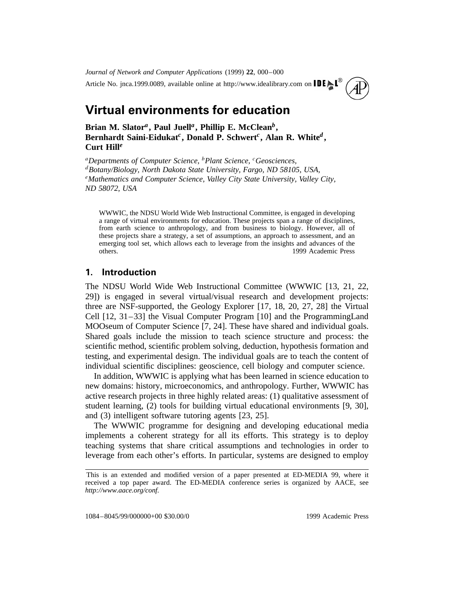*Journal of Network and Computer Applications* (1999) **22**, 000–000 Article No. jnca.1999.0089, available online at http://www.idealibrary.com on **IDE** 

# **Virtual environments for education**

**Brian M. Slator***<sup>a</sup>* **, Paul Juell***<sup>a</sup>* **, Phillip E. McClean***b***, Bernhardt Saini-Eidukat***<sup>c</sup>* **, Donald P. Schwert***<sup>c</sup>* **, Alan R. White***<sup>d</sup>* **, Curt Hill***<sup>e</sup>*

<sup>a</sup>*Departments of Computer Science,* <sup>b</sup>*Plant Science,* <sup>c</sup>*Geosciences,* <sup>d</sup>*Botany/Biology, North Dakota State University, Fargo, ND 58105, USA,* <sup>e</sup>*Mathematics and Computer Science, Valley City State University, Valley City, ND 58072, USA*

WWWIC, the NDSU World Wide Web Instructional Committee, is engaged in developing a range of virtual environments for education. These projects span a range of disciplines, from earth science to anthropology, and from business to biology. However, all of these projects share a strategy, a set of assumptions, an approach to assessment, and an emerging tool set, which allows each to leverage from the insights and advances of the others. 1999 Academic Press

## **1. Introduction**

The NDSU World Wide Web Instructional Committee (WWWIC [13, 21, 22, 29]) is engaged in several virtual/visual research and development projects: three are NSF-supported, the Geology Explorer [17, 18, 20, 27, 28] the Virtual Cell [12, 31–33] the Visual Computer Program [10] and the ProgrammingLand MOOseum of Computer Science [7, 24]. These have shared and individual goals. Shared goals include the mission to teach science structure and process: the scientific method, scientific problem solving, deduction, hypothesis formation and testing, and experimental design. The individual goals are to teach the content of individual scientific disciplines: geoscience, cell biology and computer science.

In addition, WWWIC is applying what has been learned in science education to new domains: history, microeconomics, and anthropology. Further, WWWIC has active research projects in three highly related areas: (1) qualitative assessment of student learning, (2) tools for building virtual educational environments [9, 30], and (3) intelligent software tutoring agents [23, 25].

The WWWIC programme for designing and developing educational media implements a coherent strategy for all its efforts. This strategy is to deploy teaching systems that share critical assumptions and technologies in order to leverage from each other's efforts. In particular, systems are designed to employ

1084–8045/99/000000+00 \$30.00/0 1999 Academic Press

This is an extended and modified version of a paper presented at ED-MEDIA 99, where it received a top paper award. The ED-MEDIA conference series is organized by AACE, see *http://www.aace.org/conf.*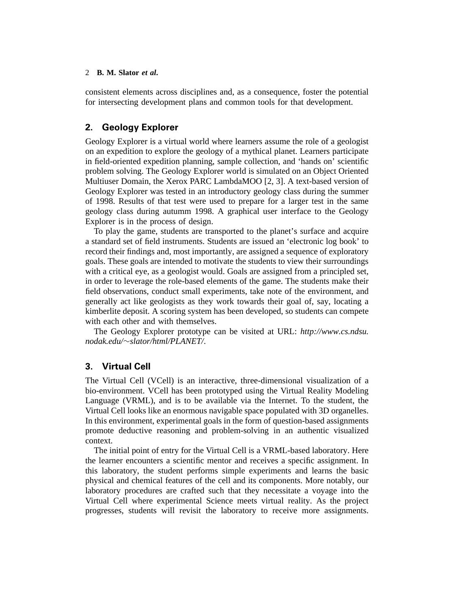consistent elements across disciplines and, as a consequence, foster the potential for intersecting development plans and common tools for that development.

## **2. Geology Explorer**

Geology Explorer is a virtual world where learners assume the role of a geologist on an expedition to explore the geology of a mythical planet. Learners participate in field-oriented expedition planning, sample collection, and 'hands on' scientific problem solving. The Geology Explorer world is simulated on an Object Oriented Multiuser Domain, the Xerox PARC LambdaMOO [2, 3]. A text-based version of Geology Explorer was tested in an introductory geology class during the summer of 1998. Results of that test were used to prepare for a larger test in the same geology class during autumm 1998. A graphical user interface to the Geology Explorer is in the process of design.

To play the game, students are transported to the planet's surface and acquire a standard set of field instruments. Students are issued an 'electronic log book' to record their findings and, most importantly, are assigned a sequence of exploratory goals. These goals are intended to motivate the students to view their surroundings with a critical eye, as a geologist would. Goals are assigned from a principled set, in order to leverage the role-based elements of the game. The students make their field observations, conduct small experiments, take note of the environment, and generally act like geologists as they work towards their goal of, say, locating a kimberlite deposit. A scoring system has been developed, so students can compete with each other and with themselves.

The Geology Explorer prototype can be visited at URL: *http://www.cs.ndsu. nodak.edu/*¾*slator/html/PLANET/*.

## **3. Virtual Cell**

The Virtual Cell (VCell) is an interactive, three-dimensional visualization of a bio-environment. VCell has been prototyped using the Virtual Reality Modeling Language (VRML), and is to be available via the Internet. To the student, the Virtual Cell looks like an enormous navigable space populated with 3D organelles. In this environment, experimental goals in the form of question-based assignments promote deductive reasoning and problem-solving in an authentic visualized context.

The initial point of entry for the Virtual Cell is a VRML-based laboratory. Here the learner encounters a scientific mentor and receives a specific assignment. In this laboratory, the student performs simple experiments and learns the basic physical and chemical features of the cell and its components. More notably, our laboratory procedures are crafted such that they necessitate a voyage into the Virtual Cell where experimental Science meets virtual reality. As the project progresses, students will revisit the laboratory to receive more assignments.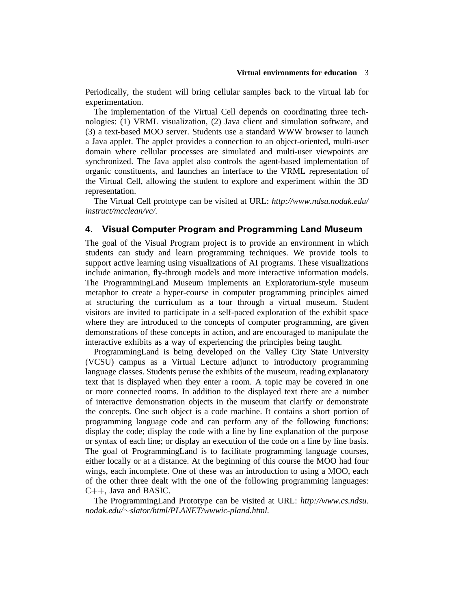Periodically, the student will bring cellular samples back to the virtual lab for experimentation.

The implementation of the Virtual Cell depends on coordinating three technologies: (1) VRML visualization, (2) Java client and simulation software, and (3) a text-based MOO server. Students use a standard WWW browser to launch a Java applet. The applet provides a connection to an object-oriented, multi-user domain where cellular processes are simulated and multi-user viewpoints are synchronized. The Java applet also controls the agent-based implementation of organic constituents, and launches an interface to the VRML representation of the Virtual Cell, allowing the student to explore and experiment within the 3D representation.

The Virtual Cell prototype can be visited at URL: *http://www.ndsu.nodak.edu/ instruct/mcclean/vc/*.

#### **4. Visual Computer Program and Programming Land Museum**

The goal of the Visual Program project is to provide an environment in which students can study and learn programming techniques. We provide tools to support active learning using visualizations of AI programs. These visualizations include animation, fly-through models and more interactive information models. The ProgrammingLand Museum implements an Exploratorium-style museum metaphor to create a hyper-course in computer programming principles aimed at structuring the curriculum as a tour through a virtual museum. Student visitors are invited to participate in a self-paced exploration of the exhibit space where they are introduced to the concepts of computer programming, are given demonstrations of these concepts in action, and are encouraged to manipulate the interactive exhibits as a way of experiencing the principles being taught.

ProgrammingLand is being developed on the Valley City State University (VCSU) campus as a Virtual Lecture adjunct to introductory programming language classes. Students peruse the exhibits of the museum, reading explanatory text that is displayed when they enter a room. A topic may be covered in one or more connected rooms. In addition to the displayed text there are a number of interactive demonstration objects in the museum that clarify or demonstrate the concepts. One such object is a code machine. It contains a short portion of programming language code and can perform any of the following functions: display the code; display the code with a line by line explanation of the purpose or syntax of each line; or display an execution of the code on a line by line basis. The goal of ProgrammingLand is to facilitate programming language courses, either locally or at a distance. At the beginning of this course the MOO had four wings, each incomplete. One of these was an introduction to using a MOO, each of the other three dealt with the one of the following programming languages:  $C++$ , Java and BASIC.

The ProgrammingLand Prototype can be visited at URL: *http://www.cs.ndsu. nodak.edu/*¾*slator/html/PLANET/wwwic-pland.html.*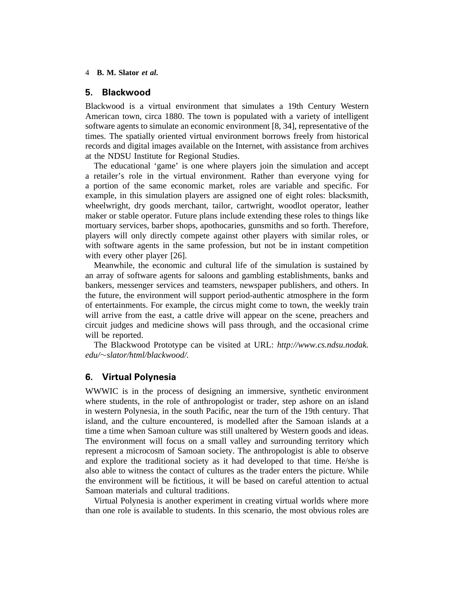#### **5. Blackwood**

Blackwood is a virtual environment that simulates a 19th Century Western American town, circa 1880. The town is populated with a variety of intelligent software agents to simulate an economic environment [8, 34], representative of the times. The spatially oriented virtual environment borrows freely from historical records and digital images available on the Internet, with assistance from archives at the NDSU Institute for Regional Studies.

The educational 'game' is one where players join the simulation and accept a retailer's role in the virtual environment. Rather than everyone vying for a portion of the same economic market, roles are variable and specific. For example, in this simulation players are assigned one of eight roles: blacksmith, wheelwright, dry goods merchant, tailor, cartwright, woodlot operator, leather maker or stable operator. Future plans include extending these roles to things like mortuary services, barber shops, apothocaries, gunsmiths and so forth. Therefore, players will only directly compete against other players with similar roles, or with software agents in the same profession, but not be in instant competition with every other player [26].

Meanwhile, the economic and cultural life of the simulation is sustained by an array of software agents for saloons and gambling establishments, banks and bankers, messenger services and teamsters, newspaper publishers, and others. In the future, the environment will support period-authentic atmosphere in the form of entertainments. For example, the circus might come to town, the weekly train will arrive from the east, a cattle drive will appear on the scene, preachers and circuit judges and medicine shows will pass through, and the occasional crime will be reported.

The Blackwood Prototype can be visited at URL: *http://www.cs.ndsu.nodak. edu/*¾*slator/html/blackwood/.*

#### **6. Virtual Polynesia**

WWWIC is in the process of designing an immersive, synthetic environment where students, in the role of anthropologist or trader, step ashore on an island in western Polynesia, in the south Pacific, near the turn of the 19th century. That island, and the culture encountered, is modelled after the Samoan islands at a time a time when Samoan culture was still unaltered by Western goods and ideas. The environment will focus on a small valley and surrounding territory which represent a microcosm of Samoan society. The anthropologist is able to observe and explore the traditional society as it had developed to that time. He/she is also able to witness the contact of cultures as the trader enters the picture. While the environment will be fictitious, it will be based on careful attention to actual Samoan materials and cultural traditions.

Virtual Polynesia is another experiment in creating virtual worlds where more than one role is available to students. In this scenario, the most obvious roles are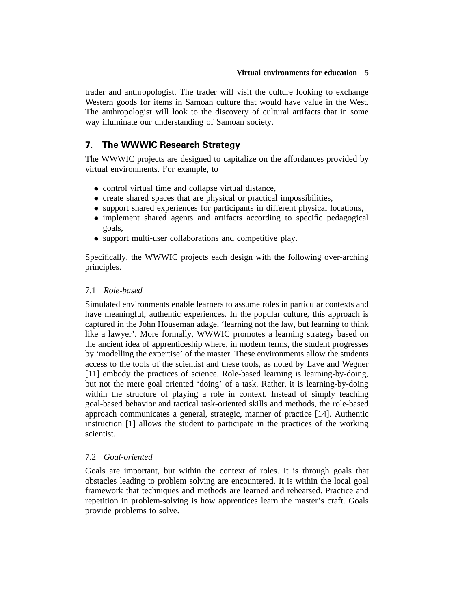trader and anthropologist. The trader will visit the culture looking to exchange Western goods for items in Samoan culture that would have value in the West. The anthropologist will look to the discovery of cultural artifacts that in some way illuminate our understanding of Samoan society.

## **7. The WWWIC Research Strategy**

The WWWIC projects are designed to capitalize on the affordances provided by virtual environments. For example, to

- control virtual time and collapse virtual distance,
- create shared spaces that are physical or practical impossibilities,
- support shared experiences for participants in different physical locations,
- implement shared agents and artifacts according to specific pedagogical goals,
- support multi-user collaborations and competitive play.

Specifically, the WWWIC projects each design with the following over-arching principles.

#### 7.1 *Role-based*

Simulated environments enable learners to assume roles in particular contexts and have meaningful, authentic experiences. In the popular culture, this approach is captured in the John Houseman adage, 'learning not the law, but learning to think like a lawyer'. More formally, WWWIC promotes a learning strategy based on the ancient idea of apprenticeship where, in modern terms, the student progresses by 'modelling the expertise' of the master. These environments allow the students access to the tools of the scientist and these tools, as noted by Lave and Wegner [11] embody the practices of science. Role-based learning is learning-by-doing, but not the mere goal oriented 'doing' of a task. Rather, it is learning-by-doing within the structure of playing a role in context. Instead of simply teaching goal-based behavior and tactical task-oriented skills and methods, the role-based approach communicates a general, strategic, manner of practice [14]. Authentic instruction [1] allows the student to participate in the practices of the working scientist.

## 7.2 *Goal-oriented*

Goals are important, but within the context of roles. It is through goals that obstacles leading to problem solving are encountered. It is within the local goal framework that techniques and methods are learned and rehearsed. Practice and repetition in problem-solving is how apprentices learn the master's craft. Goals provide problems to solve.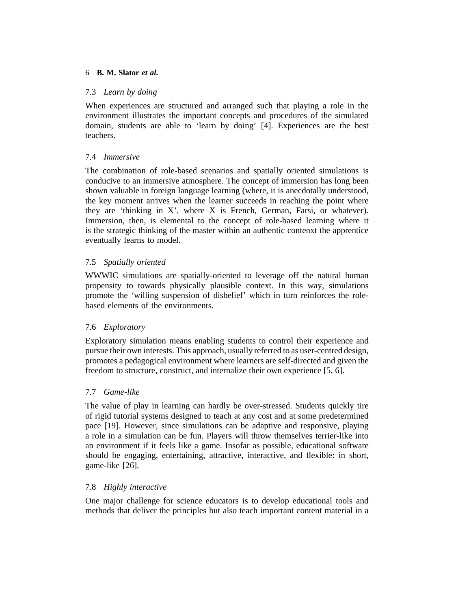#### 7.3 *Learn by doing*

When experiences are structured and arranged such that playing a role in the environment illustrates the important concepts and procedures of the simulated domain, students are able to 'learn by doing' [4]. Experiences are the best teachers.

## 7.4 *Immersive*

The combination of role-based scenarios and spatially oriented simulations is conducive to an immersive atmosphere. The concept of immersion has long been shown valuable in foreign language learning (where, it is anecdotally understood, the key moment arrives when the learner succeeds in reaching the point where they are 'thinking in X', where X is French, German, Farsi, or whatever). Immersion, then, is elemental to the concept of role-based learning where it is the strategic thinking of the master within an authentic contenxt the apprentice eventually learns to model.

## 7.5 *Spatially oriented*

WWWIC simulations are spatially-oriented to leverage off the natural human propensity to towards physically plausible context. In this way, simulations promote the 'willing suspension of disbelief' which in turn reinforces the rolebased elements of the environments.

## 7.6 *Exploratory*

Exploratory simulation means enabling students to control their experience and pursue their own interests. This approach, usually referred to as user-centred design, promotes a pedagogical environment where learners are self-directed and given the freedom to structure, construct, and internalize their own experience [5, 6].

## 7.7 *Game-like*

The value of play in learning can hardly be over-stressed. Students quickly tire of rigid tutorial systems designed to teach at any cost and at some predetermined pace [19]. However, since simulations can be adaptive and responsive, playing a role in a simulation can be fun. Players will throw themselves terrier-like into an environment if it feels like a game. Insofar as possible, educational software should be engaging, entertaining, attractive, interactive, and flexible: in short, game-like [26].

## 7.8 *Highly interactive*

One major challenge for science educators is to develop educational tools and methods that deliver the principles but also teach important content material in a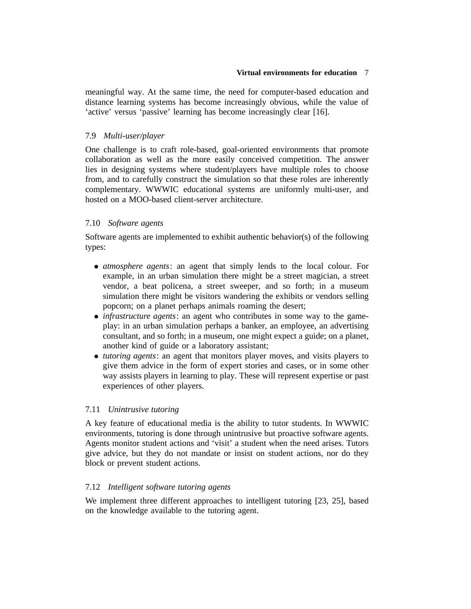meaningful way. At the same time, the need for computer-based education and distance learning systems has become increasingly obvious, while the value of 'active' versus 'passive' learning has become increasingly clear [16].

#### 7.9 *Multi-user/player*

One challenge is to craft role-based, goal-oriented environments that promote collaboration as well as the more easily conceived competition. The answer lies in designing systems where student/players have multiple roles to choose from, and to carefully construct the simulation so that these roles are inherently complementary. WWWIC educational systems are uniformly multi-user, and hosted on a MOO-based client-server architecture.

#### 7.10 *Software agents*

Software agents are implemented to exhibit authentic behavior(s) of the following types:

- ž *atmosphere agents*: an agent that simply lends to the local colour. For example, in an urban simulation there might be a street magician, a street vendor, a beat policena, a street sweeper, and so forth; in a museum simulation there might be visitors wandering the exhibits or vendors selling popcorn; on a planet perhaps animals roaming the desert;
- *infrastructure agents*: an agent who contributes in some way to the gameplay: in an urban simulation perhaps a banker, an employee, an advertising consultant, and so forth; in a museum, one might expect a guide; on a planet, another kind of guide or a laboratory assistant;
- *tutoring agents*: an agent that monitors player moves, and visits players to give them advice in the form of expert stories and cases, or in some other way assists players in learning to play. These will represent expertise or past experiences of other players.

#### 7.11 *Unintrusive tutoring*

A key feature of educational media is the ability to tutor students. In WWWIC environments, tutoring is done through unintrusive but proactive software agents. Agents monitor student actions and 'visit' a student when the need arises. Tutors give advice, but they do not mandate or insist on student actions, nor do they block or prevent student actions.

#### 7.12 *Intelligent software tutoring agents*

We implement three different approaches to intelligent tutoring [23, 25], based on the knowledge available to the tutoring agent.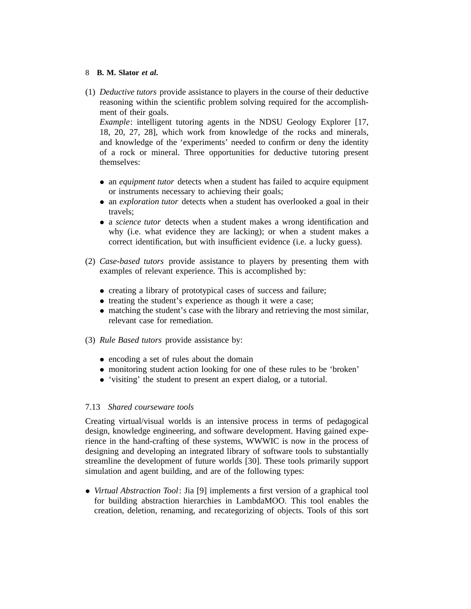(1) *Deductive tutors* provide assistance to players in the course of their deductive reasoning within the scientific problem solving required for the accomplishment of their goals.

*Example*: intelligent tutoring agents in the NDSU Geology Explorer [17, 18, 20, 27, 28], which work from knowledge of the rocks and minerals, and knowledge of the 'experiments' needed to confirm or deny the identity of a rock or mineral. Three opportunities for deductive tutoring present themselves:

- an *equipment tutor* detects when a student has failed to acquire equipment or instruments necessary to achieving their goals;
- an *exploration tutor* detects when a student has overlooked a goal in their travels;
- a *science tutor* detects when a student makes a wrong identification and why (i.e. what evidence they are lacking); or when a student makes a correct identification, but with insufficient evidence (i.e. a lucky guess).
- (2) *Case-based tutors* provide assistance to players by presenting them with examples of relevant experience. This is accomplished by:
	- creating a library of prototypical cases of success and failure;
	- treating the student's experience as though it were a case;
	- matching the student's case with the library and retrieving the most similar, relevant case for remediation.
- (3) *Rule Based tutors* provide assistance by:
	- encoding a set of rules about the domain
	- monitoring student action looking for one of these rules to be 'broken'
	- 'visiting' the student to present an expert dialog, or a tutorial.

#### 7.13 *Shared courseware tools*

Creating virtual/visual worlds is an intensive process in terms of pedagogical design, knowledge engineering, and software development. Having gained experience in the hand-crafting of these systems, WWWIC is now in the process of designing and developing an integrated library of software tools to substantially streamline the development of future worlds [30]. These tools primarily support simulation and agent building, and are of the following types:

• *Virtual Abstraction Tool*: Jia [9] implements a first version of a graphical tool for building abstraction hierarchies in LambdaMOO. This tool enables the creation, deletion, renaming, and recategorizing of objects. Tools of this sort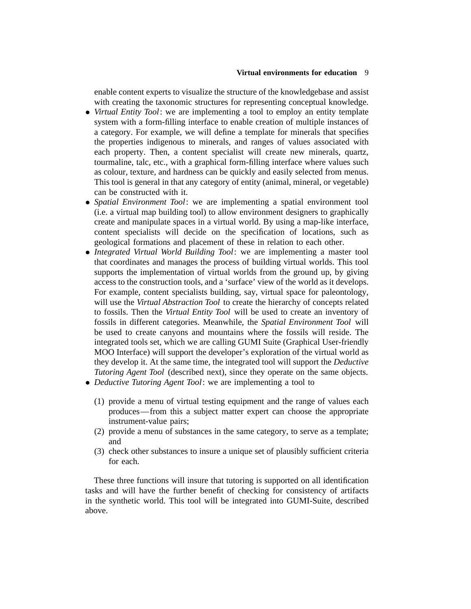enable content experts to visualize the structure of the knowledgebase and assist with creating the taxonomic structures for representing conceptual knowledge.

- *Virtual Entity Tool*: we are implementing a tool to employ an entity template system with a form-filling interface to enable creation of multiple instances of a category. For example, we will define a template for minerals that specifies the properties indigenous to minerals, and ranges of values associated with each property. Then, a content specialist will create new minerals, quartz, tourmaline, talc, etc., with a graphical form-filling interface where values such as colour, texture, and hardness can be quickly and easily selected from menus. This tool is general in that any category of entity (animal, mineral, or vegetable) can be constructed with it.
- *Spatial Environment Tool*: we are implementing a spatial environment tool (i.e. a virtual map building tool) to allow environment designers to graphically create and manipulate spaces in a virtual world. By using a map-like interface, content specialists will decide on the specification of locations, such as geological formations and placement of these in relation to each other.
- ž *Integrated Virtual World Building Tool*: we are implementing a master tool that coordinates and manages the process of building virtual worlds. This tool supports the implementation of virtual worlds from the ground up, by giving access to the construction tools, and a 'surface' view of the world as it develops. For example, content specialists building, say, virtual space for paleontology, will use the *Virtual Abstraction Tool* to create the hierarchy of concepts related to fossils. Then the *Virtual Entity Tool* will be used to create an inventory of fossils in different categories. Meanwhile, the *Spatial Environment Tool* will be used to create canyons and mountains where the fossils will reside. The integrated tools set, which we are calling GUMI Suite (Graphical User-friendly MOO Interface) will support the developer's exploration of the virtual world as they develop it. At the same time, the integrated tool will support the *Deductive Tutoring Agent Tool* (described next), since they operate on the same objects.
- *Deductive Tutoring Agent Tool*: we are implementing a tool to
	- (1) provide a menu of virtual testing equipment and the range of values each produces—from this a subject matter expert can choose the appropriate instrument-value pairs;
	- (2) provide a menu of substances in the same category, to serve as a template; and
	- (3) check other substances to insure a unique set of plausibly sufficient criteria for each.

These three functions will insure that tutoring is supported on all identification tasks and will have the further benefit of checking for consistency of artifacts in the synthetic world. This tool will be integrated into GUMI-Suite, described above.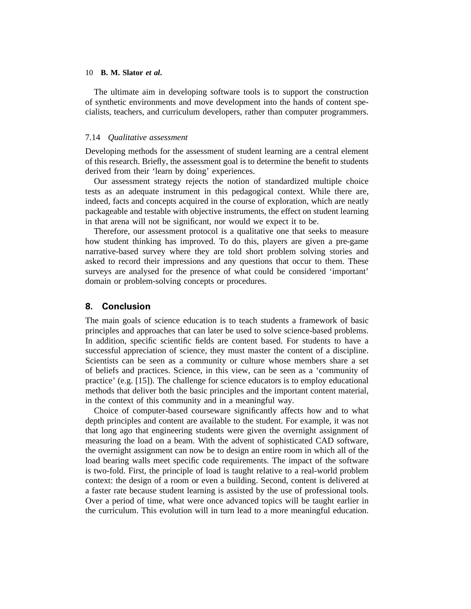The ultimate aim in developing software tools is to support the construction of synthetic environments and move development into the hands of content specialists, teachers, and curriculum developers, rather than computer programmers.

#### 7.14 *Qualitative assessment*

Developing methods for the assessment of student learning are a central element of this research. Briefly, the assessment goal is to determine the benefit to students derived from their 'learn by doing' experiences.

Our assessment strategy rejects the notion of standardized multiple choice tests as an adequate instrument in this pedagogical context. While there are, indeed, facts and concepts acquired in the course of exploration, which are neatly packageable and testable with objective instruments, the effect on student learning in that arena will not be significant, nor would we expect it to be.

Therefore, our assessment protocol is a qualitative one that seeks to measure how student thinking has improved. To do this, players are given a pre-game narrative-based survey where they are told short problem solving stories and asked to record their impressions and any questions that occur to them. These surveys are analysed for the presence of what could be considered 'important' domain or problem-solving concepts or procedures.

#### **8. Conclusion**

The main goals of science education is to teach students a framework of basic principles and approaches that can later be used to solve science-based problems. In addition, specific scientific fields are content based. For students to have a successful appreciation of science, they must master the content of a discipline. Scientists can be seen as a community or culture whose members share a set of beliefs and practices. Science, in this view, can be seen as a 'community of practice' (e.g. [15]). The challenge for science educators is to employ educational methods that deliver both the basic principles and the important content material, in the context of this community and in a meaningful way.

Choice of computer-based courseware significantly affects how and to what depth principles and content are available to the student. For example, it was not that long ago that engineering students were given the overnight assignment of measuring the load on a beam. With the advent of sophisticated CAD software, the overnight assignment can now be to design an entire room in which all of the load bearing walls meet specific code requirements. The impact of the software is two-fold. First, the principle of load is taught relative to a real-world problem context: the design of a room or even a building. Second, content is delivered at a faster rate because student learning is assisted by the use of professional tools. Over a period of time, what were once advanced topics will be taught earlier in the curriculum. This evolution will in turn lead to a more meaningful education.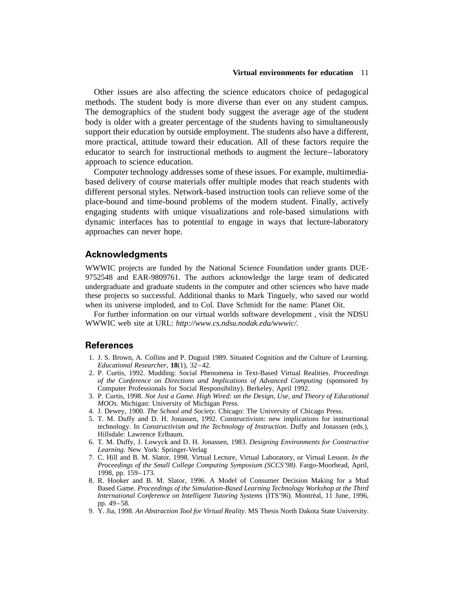Other issues are also affecting the science educators choice of pedagogical methods. The student body is more diverse than ever on any student campus. The demographics of the student body suggest the average age of the student body is older with a greater percentage of the students having to simultaneously support their education by outside employment. The students also have a different, more practical, attitude toward their education. All of these factors require the educator to search for instructional methods to augment the lecture–laboratory approach to science education.

Computer technology addresses some of these issues. For example, multimediabased delivery of course materials offer multiple modes that reach students with different personal styles. Network-based instruction tools can relieve some of the place-bound and time-bound problems of the modern student. Finally, actively engaging students with unique visualizations and role-based simulations with dynamic interfaces has to potential to engage in ways that lecture-laboratory approaches can never hope.

#### **Acknowledgments**

WWWIC projects are funded by the National Science Foundation under grants DUE-9752548 and EAR-9809761. The authors acknowledge the large team of dedicated undergraduate and graduate students in the computer and other sciences who have made these projects so successful. Additional thanks to Mark Tinguely, who saved our world when its universe imploded, and to Col. Dave Schmidt for the name: Planet Oit.

For further information on our virtual worlds software development , visit the NDSU WWWIC web site at URL: *http://www.cs.ndsu.nodak.edu/wwwic/.*

#### **References**

- 1. J. S. Brown, A. Collins and P. Duguid 1989. Situated Cognition and the Culture of Learning. *Educational Researcher*, **18**(1), 32–42.
- 2. P. Curtis, 1992. Mudding: Social Phenomena in Text-Based Virtual Realities. *Proceedings of the Conference on Directions and Implications of Advanced Computing* (sponsored by Computer Professionals for Social Responsibility). Berkeley, April 1992.
- 3. P. Curtis, 1998. *Not Just a Game. High Wired: on the Design, Use, and Theory of Educational MOOs*. Michigan: University of Michigan Press.
- 4. J. Dewey, 1900. *The School and Society*. Chicago: The University of Chicago Press.
- 5. T. M. Duffy and D. H. Jonassen, 1992. Constructivism: new implications for instructional technology. In *Constructivism and the Technology of Instruction*. Duffy and Jonassen (eds.), Hillsdale: Lawrence Erlbaum.
- 6. T. M. Duffy, J. Lowyck and D. H. Jonassen, 1983. *Designing Environments for Constructive Learning*. New York: Springer-Verlag
- 7. C. Hill and B. M. Slator, 1998. Virtual Lecture, Virtual Laboratory, or Virtual Lesson. *In the Proceedings of the Small College Computing Symposium (SCCS'98)*. Fargo-Moorhead, April, 1998, pp. 159–173.
- 8. R. Hooker and B. M. Slator, 1996. A Model of Consumer Decision Making for a Mud Based Game. *Proceedings of the Simulation-Based Learning Technology Workshop at the Third International Conference on Intelligent Tutoring Systems* (ITS'96). Montreal, 11 June, 1996, ´ pp. 49–58.
- 9. Y. Jia, 1998. *An Abstraction Tool for Virtual Reality*. MS Thesis North Dakota State University.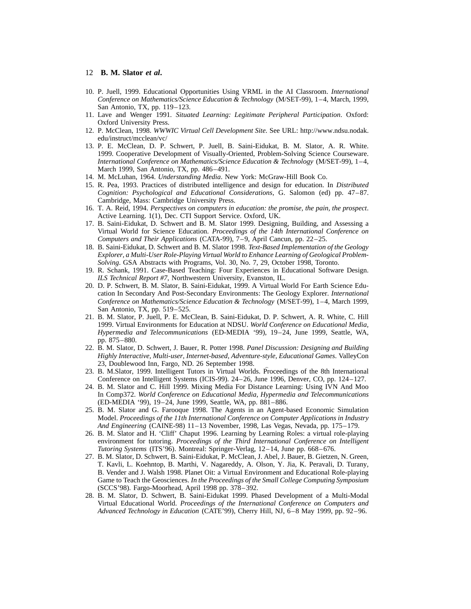- 10. P. Juell, 1999. Educational Opportunities Using VRML in the AI Classroom. *International Conference on Mathematics/Science Education & Technology* (M/SET-99), 1–4, March, 1999, San Antonio, TX, pp. 119–123.
- 11. Lave and Wenger 1991. *Situated Learning: Legitimate Peripheral Participation*. Oxford: Oxford University Press.
- 12. P. McClean, 1998. *WWWIC Virtual Cell Development Site*. See URL: http://www.ndsu.nodak. edu/instruct/mcclean/vc/
- 13. P. E. McClean, D. P. Schwert, P. Juell, B. Saini-Eidukat, B. M. Slator, A. R. White. 1999. Cooperative Development of Visually-Oriented, Problem-Solving Science Courseware. *International Conference on Mathematics/Science Education & Technology* (M/SET-99), 1–4, March 1999, San Antonio, TX, pp. 486–491.
- 14. M. McLuhan, 1964. *Understanding Media*. New York: McGraw-Hill Book Co.
- 15. R. Pea, 1993. Practices of distributed intelligence and design for education. In *Distributed Cognition: Psychological and Educational Considerations*, G. Salomon (ed) pp. 47–87. Cambridge, Mass: Cambridge University Press.
- 16. T. A. Reid, 1994. *Perspectives on computers in education: the promise, the pain, the prospect*. Active Learning. 1(1), Dec. CTI Support Service. Oxford, UK.
- 17. B. Saini-Eidukat, D. Schwert and B. M. Slator 1999. Designing, Building, and Assessing a Virtual World for Science Education. *Proceedings of the 14th International Conference on Computers and Their Applications* (CATA-99), 7–9, April Cancun, pp. 22–25.
- 18. B. Saini-Eidukat, D. Schwert and B. M. Slator 1998. *Text-Based Implementation of the Geology Explorer, a Multi-User Role-Playing Virtual World to Enhance Learning of Geological Problem-Solving*. GSA Abstracts with Programs, Vol. 30, No. 7, 29, October 1998, Toronto.
- 19. R. Schank, 1991. Case-Based Teaching: Four Experiences in Educational Software Design. *ILS Technical Report #7*, Northwestern University, Evanston, IL.
- 20. D. P. Schwert, B. M. Slator, B. Saini-Eidukat, 1999. A Virtual World For Earth Science Education In Secondary And Post-Secondary Environments: The Geology Explorer. *International Conference on Mathematics/Science Education & Technology* (M/SET-99), 1–4, March 1999, San Antonio, TX, pp. 519–525.
- 21. B. M. Slator, P. Juell, P. E. McClean, B. Saini-Eidukat, D. P. Schwert, A. R. White, C. Hill 1999. Virtual Environments for Education at NDSU. *World Conference on Educational Media, Hypermedia and Telecommunications* (ED-MEDIA '99), 19–24, June 1999, Seattle, WA, pp. 875–880.
- 22. B. M. Slator, D. Schwert, J. Bauer, R. Potter 1998. *Panel Discussion: Designing and Building Highly Interactive, Multi-user, Internet-based, Adventure-style, Educational Games*. ValleyCon 23, Doublewood Inn, Fargo, ND. 26 September 1998.
- 23. B. M.Slator, 1999. Intelligent Tutors in Virtual Worlds. Proceedings of the 8th International A Conference on Intelligent Systems (ICIS-99). 24–26, June 1996, Denver, CO, pp. 124–127.
- 24. B. M. Slator and C. Hill 1999. Mixing Media For Distance Learning: Using IVN And Moo In Comp372. *World Conference on Educational Media, Hypermedia and Telecommunications* (ED-MEDIA '99), 19–24, June 1999, Seattle, WA, pp. 881–886.
- 25. B. M. Slator and G. Farooque 1998. The Agents in an Agent-based Economic Simulation Model. *Proceedings of the 11th International Conference on Computer Applications in Industry And Engineering* (CAINE-98) 11–13 November, 1998, Las Vegas, Nevada, pp. 175–179.
- 26. B. M. Slator and H. 'Cliff' Chaput 1996. Learning by Learning Roles: a virtual role-playing environment for tutoring. *Proceedings of the Third International Conference on Intelligent Tutoring Systems* (ITS'96). Montreal: Springer-Verlag, 12–14, June pp. 668–676.
- 27. B. M. Slator, D. Schwert, B. Saini-Eidukat, P. McClean, J. Abel, J. Bauer, B. Gietzen, N. Green, T. Kavli, L. Koehntop, B. Marthi, V. Nagareddy, A. Olson, Y. Jia, K. Peravali, D. Turany, B. Vender and J. Walsh 1998. Planet Oit: a Virtual Environment and Educational Role-playing Game to Teach the Geosciences. *In the Proceedings of the Small College Computing Symposium* (SCCS'98). Fargo-Moorhead, April 1998 pp. 378–392.
- 28. B. M. Slator, D. Schwert, B. Saini-Eidukat 1999. Phased Development of a Multi-Modal Virtual Educational World. *Proceedings of the International Conference on Computers and Advanced Technology in Education* (CATE'99), Cherry Hill, NJ, 6–8 May 1999, pp. 92–96.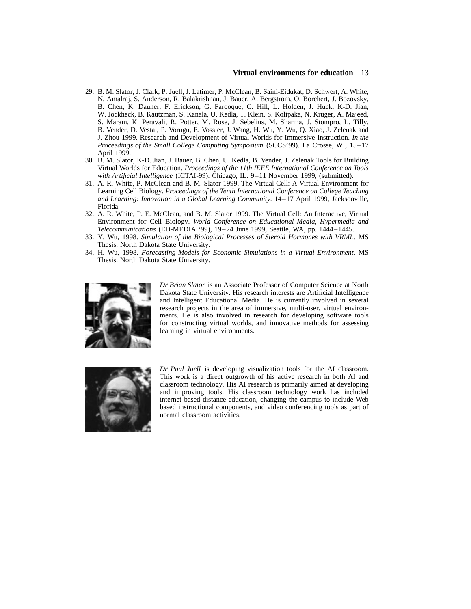- 29. B. M. Slator, J. Clark, P. Juell, J. Latimer, P. McClean, B. Saini-Eidukat, D. Schwert, A. White, N. Amalraj, S. Anderson, R. Balakrishnan, J. Bauer, A. Bergstrom, O. Borchert, J. Bozovsky, B. Chen, K. Dauner, F. Erickson, G. Farooque, C. Hill, L. Holden, J. Huck, K-D. Jian, W. Jockheck, B. Kautzman, S. Kanala, U. Kedla, T. Klein, S. Kolipaka, N. Kruger, A. Majeed, S. Maram, K. Peravali, R. Potter, M. Rose, J. Sebelius, M. Sharma, J. Stompro, L. Tilly, B. Vender, D. Vestal, P. Vorugu, E. Vossler, J. Wang, H. Wu, Y. Wu, Q. Xiao, J. Zelenak and J. Zhou 1999. Research and Development of Virtual Worlds for Immersive Instruction. *In the Proceedings of the Small College Computing Symposium* (SCCS'99). La Crosse, WI, 15–17 April 1999.
- 30. B. M. Slator, K-D. Jian, J. Bauer, B. Chen, U. Kedla, B. Vender, J. Zelenak Tools for Building Virtual Worlds for Education. *Proceedings of the 11th IEEE International Conference on Tools with Artificial Intelligence* (ICTAI-99). Chicago, IL. 9–11 November 1999, (submitted).
- 31. A. R. White, P. McClean and B. M. Slator 1999. The Virtual Cell: A Virtual Environment for Learning Cell Biology. *Proceedings of the Tenth International Conference on College Teaching and Learning: Innovation in a Global Learning Community*. 14–17 April 1999, Jacksonville, Florida.
- 32. A. R. White, P. E. McClean, and B. M. Slator 1999. The Virtual Cell: An Interactive, Virtual Environment for Cell Biology. *World Conference on Educational Media, Hypermedia and Telecommunications* (ED-MEDIA '99), 19–24 June 1999, Seattle, WA, pp. 1444–1445.
- 33. Y. Wu, 1998. *Simulation of the Biological Processes of Steroid Hormones with VRML*. MS Thesis. North Dakota State University.
- 34. H. Wu, 1998. *Forecasting Models for Economic Simulations in a Virtual Environment*. MS Thesis. North Dakota State University.



*Dr Brian Slator* is an Associate Professor of Computer Science at North Dakota State University. His research interests are Artificial Intelligence and Intelligent Educational Media. He is currently involved in several research projects in the area of immersive, multi-user, virtual environments. He is also involved in research for developing software tools for constructing virtual worlds, and innovative methods for assessing learning in virtual environments.



*Dr Paul Juell* is developing visualization tools for the AI classroom. This work is a direct outgrowth of his active research in both AI and classroom technology. His AI research is primarily aimed at developing and improving tools. His classroom technology work has included internet based distance education, changing the campus to include Web based instructional components, and video conferencing tools as part of normal classroom activities.